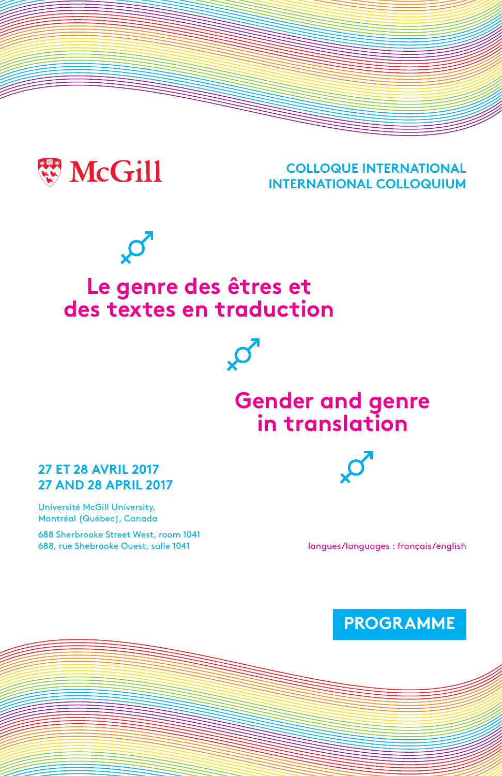

#### **COLLOQUE INTERNATIONAL INTERNATIONAL COLLOQUIUM**



### **Le genre des êtres et des textes en traduction**



#### **27 ET 28 AVRIL 2017 27 AND 28 APRIL 2017**

Université McGill University, Montréal (Québec), Canada

688 Sherbrooke Street West, room 1041 688, rue Shebrooke Ouest, salle 1041



langues/languages : français/english

**PROGRAMME**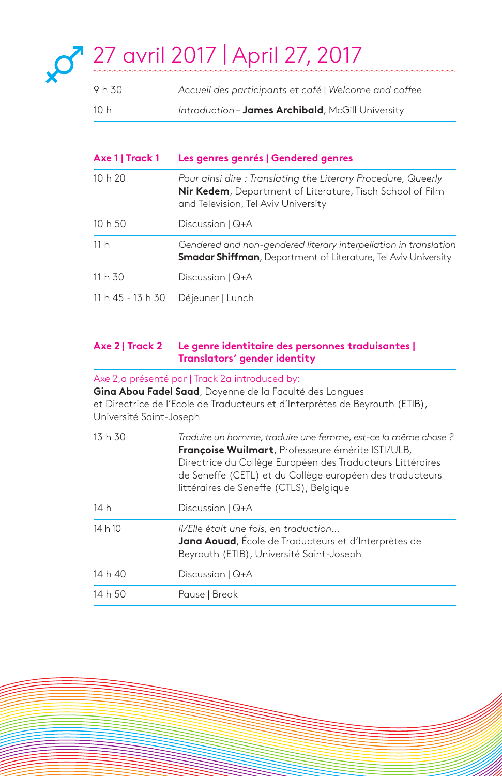# 27 avril 2017 | April 27, 2017

| 9 h 30 | Accueil des participants et café   Welcome and coffee |
|--------|-------------------------------------------------------|
| 10 h   | Introduction - James Archibald, McGill University     |

### **Axe 1 | Track 1 Les genres genrés | Gendered genres** 10 h 20 *Pour ainsi dire : Translating the Literary Procedure, Queerly* **Nir Kedem**, Department of Literature, Tisch School of Film and Television, Tel Aviv University 10 h 50 Discussion | Q+A 11 h *Gendered and non-gendered literary interpellation in translation* **Smadar Shiffman**, Department of Literature, Tel Aviv University 11 h 30 Discussion | Q+A 11 h 45 - 13 h 30 Déjeuner | Lunch

#### **Axe 2 | Track 2 Le genre identitaire des personnes traduisantes | Translators' gender identity**

Axe 2,a présenté par | Track 2a introduced by:

**Gina Abou Fadel Saad**, Doyenne de la Faculté des Langues et Directrice de l'Ecole de Traducteurs et d'Interprètes de Beyrouth (ETIB), Université Saint-Joseph

| 13h30   | Traduire un homme, traduire une femme, est-ce la même chose ?<br>Françoise Wuilmart, Professeure émérite ISTI/ULB,<br>Directrice du Collège Européen des Traducteurs Littéraires<br>de Seneffe (CETL) et du Collège européen des traducteurs<br>littéraires de Seneffe (CTLS), Belgique |
|---------|-----------------------------------------------------------------------------------------------------------------------------------------------------------------------------------------------------------------------------------------------------------------------------------------|
| 14 h    | Discussion   Q+A                                                                                                                                                                                                                                                                        |
| 14 h 10 | II/Elle était une fois, en traduction<br>Jana Aouad, École de Traducteurs et d'Interprètes de<br>Beyrouth (ETIB), Université Saint-Joseph                                                                                                                                               |
| 14 h 40 | Discussion   Q+A                                                                                                                                                                                                                                                                        |
| 14 h 50 | Pause   Break                                                                                                                                                                                                                                                                           |
|         |                                                                                                                                                                                                                                                                                         |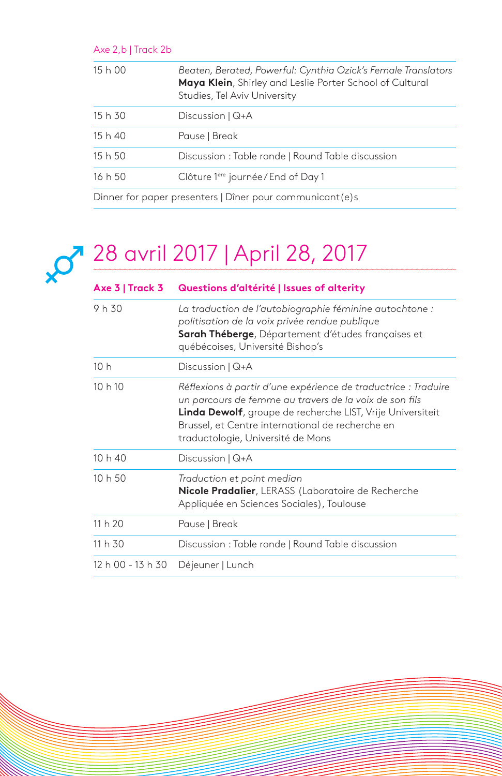| Axe $2,b$   Track $2b$ |                                                                                                                                                           |
|------------------------|-----------------------------------------------------------------------------------------------------------------------------------------------------------|
| 15h00                  | Beaten, Berated, Powerful: Cynthia Ozick's Female Translators<br>Maya Klein, Shirley and Leslie Porter School of Cultural<br>Studies, Tel Aviv University |
| 15 h 30                | Discussion $\sqrt{Q+A}$                                                                                                                                   |
| 15h40                  | Pause   Break                                                                                                                                             |
| 15h50                  | Discussion: Table ronde   Round Table discussion                                                                                                          |
| 16h50                  | Clôture 1ère journée/End of Day 1                                                                                                                         |
|                        | Dinner for paper presenters   Dîner pour communicant (e)s                                                                                                 |

## 28 avril 2017 | April 28, 2017

| Axe $3$   Track 3 | Questions d'altérité   Issues of alterity                                                                                                                                                                                                                                       |
|-------------------|---------------------------------------------------------------------------------------------------------------------------------------------------------------------------------------------------------------------------------------------------------------------------------|
| 9 h 30            | La traduction de l'autobiographie féminine autochtone :<br>politisation de la voix privée rendue publique<br>Sarah Théberge, Département d'études françaises et<br>québécoises, Université Bishop's                                                                             |
| 10h               | Discussion   Q+A                                                                                                                                                                                                                                                                |
| 10h10             | Réflexions à partir d'une expérience de traductrice : Traduire<br>un parcours de femme au travers de la voix de son fils<br>Linda Dewolf, groupe de recherche LIST, Vrije Universiteit<br>Brussel, et Centre international de recherche en<br>traductologie, Université de Mons |
| 10h40             | Discussion   Q+A                                                                                                                                                                                                                                                                |
| 10h50             | Traduction et point median<br>Nicole Pradalier, LERASS (Laboratoire de Recherche<br>Appliquée en Sciences Sociales), Toulouse                                                                                                                                                   |
| 11h20             | Pause   Break                                                                                                                                                                                                                                                                   |
| 11 h 30           | Discussion: Table ronde   Round Table discussion                                                                                                                                                                                                                                |
| 12 h 00 - 13 h 30 | Déjeuner   Lunch                                                                                                                                                                                                                                                                |